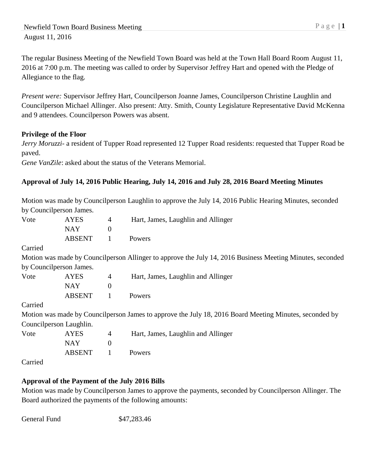The regular Business Meeting of the Newfield Town Board was held at the Town Hall Board Room August 11, 2016 at 7:00 p.m. The meeting was called to order by Supervisor Jeffrey Hart and opened with the Pledge of Allegiance to the flag.

*Present were:* Supervisor Jeffrey Hart, Councilperson Joanne James, Councilperson Christine Laughlin and Councilperson Michael Allinger. Also present: Atty. Smith, County Legislature Representative David McKenna and 9 attendees. Councilperson Powers was absent.

# **Privilege of the Floor**

*Jerry Moruzzi-* a resident of Tupper Road represented 12 Tupper Road residents: requested that Tupper Road be paved.

*Gene VanZile*: asked about the status of the Veterans Memorial.

## **Approval of July 14, 2016 Public Hearing, July 14, 2016 and July 28, 2016 Board Meeting Minutes**

Motion was made by Councilperson Laughlin to approve the July 14, 2016 Public Hearing Minutes, seconded by Councilperson James.

| Vote    | <b>AYES</b>             | $\overline{4}$   | Hart, James, Laughlin and Allinger                                                                        |  |
|---------|-------------------------|------------------|-----------------------------------------------------------------------------------------------------------|--|
|         | <b>NAY</b>              | $\boldsymbol{0}$ |                                                                                                           |  |
|         | <b>ABSENT</b>           | 1                | Powers                                                                                                    |  |
| Carried |                         |                  |                                                                                                           |  |
|         |                         |                  | Motion was made by Councilperson Allinger to approve the July 14, 2016 Business Meeting Minutes, seconded |  |
|         | by Councilperson James. |                  |                                                                                                           |  |
| Vote    | <b>AYES</b>             | $\overline{4}$   | Hart, James, Laughlin and Allinger                                                                        |  |
|         | <b>NAY</b>              | $\overline{0}$   |                                                                                                           |  |
|         | <b>ABSENT</b>           | 1                | Powers                                                                                                    |  |
| Carried |                         |                  |                                                                                                           |  |
|         |                         |                  | Motion was made by Councilperson James to approve the July 18, 2016 Board Meeting Minutes, seconded by    |  |
|         | Councilperson Laughlin. |                  |                                                                                                           |  |
| Vote    | <b>AYES</b>             | $\overline{4}$   | Hart, James, Laughlin and Allinger                                                                        |  |
|         | <b>NAY</b>              | $\boldsymbol{0}$ |                                                                                                           |  |
|         | <b>ABSENT</b>           | 1                | Powers                                                                                                    |  |
|         |                         |                  |                                                                                                           |  |

Carried

# **Approval of the Payment of the July 2016 Bills**

Motion was made by Councilperson James to approve the payments, seconded by Councilperson Allinger. The Board authorized the payments of the following amounts:

General Fund \$47,283.46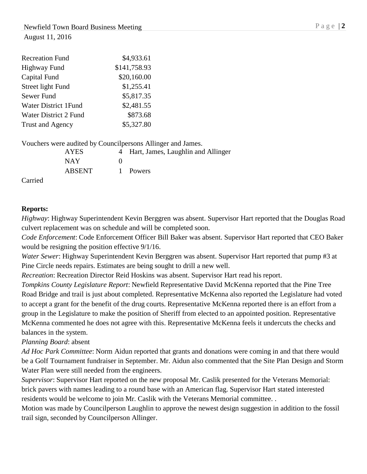| \$4,933.61   |
|--------------|
| \$141,758.93 |
| \$20,160.00  |
| \$1,255.41   |
| \$5,817.35   |
| \$2,481.55   |
| \$873.68     |
| \$5,327.80   |
|              |

Vouchers were audited by Councilpersons Allinger and James.

| <b>AYES</b>   | 4 Hart, James, Laughlin and Allinger |
|---------------|--------------------------------------|
| <b>NAY</b>    |                                      |
| <b>ABSENT</b> | 1 Powers                             |

Carried

## **Reports:**

*Highway*: Highway Superintendent Kevin Berggren was absent. Supervisor Hart reported that the Douglas Road culvert replacement was on schedule and will be completed soon.

*Code Enforcement*: Code Enforcement Officer Bill Baker was absent. Supervisor Hart reported that CEO Baker would be resigning the position effective 9/1/16.

*Water Sewer*: Highway Superintendent Kevin Berggren was absent. Supervisor Hart reported that pump #3 at Pine Circle needs repairs. Estimates are being sought to drill a new well.

*Recreation*: Recreation Director Reid Hoskins was absent. Supervisor Hart read his report.

*Tompkins County Legislature Report*: Newfield Representative David McKenna reported that the Pine Tree Road Bridge and trail is just about completed. Representative McKenna also reported the Legislature had voted to accept a grant for the benefit of the drug courts. Representative McKenna reported there is an effort from a group in the Legislature to make the position of Sheriff from elected to an appointed position. Representative McKenna commented he does not agree with this. Representative McKenna feels it undercuts the checks and balances in the system.

*Planning Board*: absent

*Ad Hoc Park Committee*: Norm Aidun reported that grants and donations were coming in and that there would be a Golf Tournament fundraiser in September. Mr. Aidun also commented that the Site Plan Design and Storm Water Plan were still needed from the engineers.

*Supervisor*: Supervisor Hart reported on the new proposal Mr. Caslik presented for the Veterans Memorial: brick pavers with names leading to a round base with an American flag. Supervisor Hart stated interested residents would be welcome to join Mr. Caslik with the Veterans Memorial committee. .

Motion was made by Councilperson Laughlin to approve the newest design suggestion in addition to the fossil trail sign, seconded by Councilperson Allinger.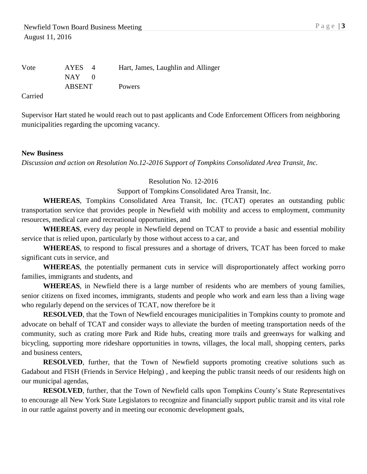| Vote | <b>AYES</b>   | Hart, James, Laughlin and Allinger |
|------|---------------|------------------------------------|
|      | NAY 1         |                                    |
|      | <b>ABSENT</b> | <b>Powers</b>                      |

Carried

Supervisor Hart stated he would reach out to past applicants and Code Enforcement Officers from neighboring municipalities regarding the upcoming vacancy.

#### **New Business**

*Discussion and action on Resolution No.12-2016 Support of Tompkins Consolidated Area Transit, Inc.*

#### Resolution No. 12-2016

Support of Tompkins Consolidated Area Transit, Inc.

**WHEREAS**, Tompkins Consolidated Area Transit, Inc. (TCAT) operates an outstanding public transportation service that provides people in Newfield with mobility and access to employment, community resources, medical care and recreational opportunities, and

**WHEREAS**, every day people in Newfield depend on TCAT to provide a basic and essential mobility service that is relied upon, particularly by those without access to a car, and

**WHEREAS**, to respond to fiscal pressures and a shortage of drivers, TCAT has been forced to make significant cuts in service, and

**WHEREAS**, the potentially permanent cuts in service will disproportionately affect working porro families, immigrants and students, and

**WHEREAS**, in Newfield there is a large number of residents who are members of young families, senior citizens on fixed incomes, immigrants, students and people who work and earn less than a living wage who regularly depend on the services of TCAT, now therefore be it

**RESOLVED**, that the Town of Newfield encourages municipalities in Tompkins county to promote and advocate on behalf of TCAT and consider ways to alleviate the burden of meeting transportation needs of the community, such as crating more Park and Ride hubs, creating more trails and greenways for walking and bicycling, supporting more rideshare opportunities in towns, villages, the local mall, shopping centers, parks and business centers,

**RESOLVED**, further, that the Town of Newfield supports promoting creative solutions such as Gadabout and FISH (Friends in Service Helping) , and keeping the public transit needs of our residents high on our municipal agendas,

**RESOLVED**, further, that the Town of Newfield calls upon Tompkins County's State Representatives to encourage all New York State Legislators to recognize and financially support public transit and its vital role in our rattle against poverty and in meeting our economic development goals,